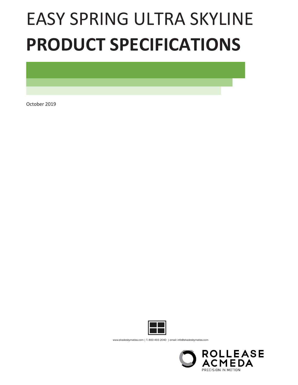# EASY SPRING ULTRA SKYLINE **PRODUCT SPECIFICATIONS**

October 2019



www.shadesbymatiss.com | T. 800 493 2040 | email: info@shadesbymatiss.com

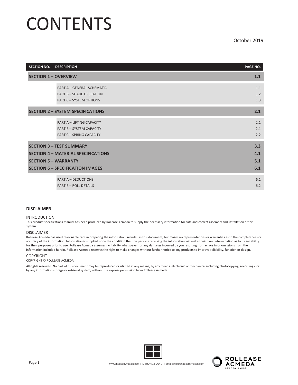# **CONTENTS**

| <b>SECTION NO.</b> | <b>DESCRIPTION</b>                                                                                                                                      | PAGE NO.                 |  |  |
|--------------------|---------------------------------------------------------------------------------------------------------------------------------------------------------|--------------------------|--|--|
|                    | <b>SECTION 1 - OVERVIEW</b>                                                                                                                             |                          |  |  |
|                    | PART A - GENERAL SCHEMATIC<br><b>PART B - SHADE OPERATION</b><br><b>PART C - SYSTEM OPTIONS</b>                                                         | 1.1<br>1.2<br>1.3        |  |  |
|                    | <b>SECTION 2 - SYSTEM SPECIFICATIONS</b>                                                                                                                | 2.1                      |  |  |
|                    | <b>PART A - LIFTING CAPACITY</b><br><b>PART B - SYSTEM CAPACITY</b><br><b>PART C - SPRING CAPACITY</b>                                                  | 2.1<br>2.1<br>2.2        |  |  |
|                    | <b>SECTION 3 - TEST SUMMARY</b><br><b>SECTION 4 - MATERIAL SPECIFICATIONS</b><br><b>SECTION 5 - WARRANTY</b><br><b>SECTION 6 - SPECIFICATION IMAGES</b> | 3.3<br>4.1<br>5.1<br>6.1 |  |  |
|                    | <b>PART A - DEDUCTIONS</b><br><b>PART B - ROLL DETAILS</b>                                                                                              | 6.1<br>6.2               |  |  |

#### **DISCLAIMER**

#### INTRODUCTION

This product specifications manual has been produced by Rollease Acmeda to supply the necessary information for safe and correct assembly and installation of this system.

#### DISCLAIMER

Rollease Acmeda has used reasonable care in preparing the information included in this document, but makes no representations or warranties as to the completeness or accuracy of the information. Information is supplied upon the condition that the persons receiving the information will make their own determination as to its suitability for their purposes prior to use. Rollease Acmeda assumes no liability whatsoever for any damages incurred by you resulting from errors in or omissions from the information included herein. Rollease Acmeda reserves the right to make changes without further notice to any products to improve reliability, function or design.

#### COPYRIGHT

COPYRIGHT © ROLLEASE ACMEDA

All rights reserved. No part of this document may be reproduced or utilized in any means, by any means, electronic or mechanical including photocopying, recordings, or by any information storage or retrieval system, without the express permission from Rollease Acmeda.



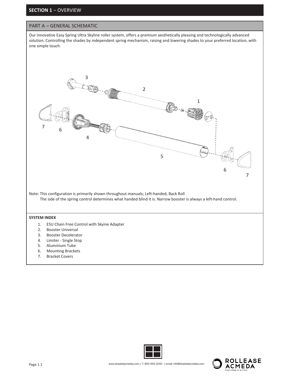#### **SECTION 1** − OVERVIEW

#### PART A – GENERAL SCHEMATIC

Our innovative Easy Spring Ultra Skyline roller system, offers a premium aesthetically pleasing and technologically advanced solution. Controlling the shades by independent spring mechanism, raising and lowering shades to your preferred location, with one simple touch.





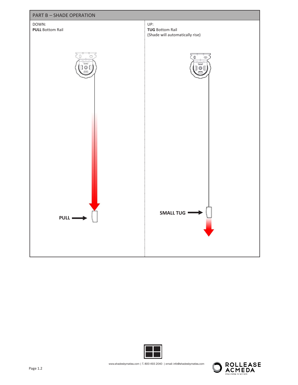



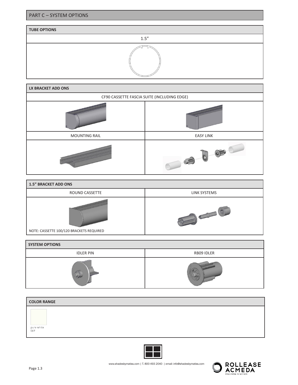#### **TUBE OPTIONS**

1.5"



| <b>1.5" BRACKET ADD ONS</b>              |              |  |  |  |  |
|------------------------------------------|--------------|--|--|--|--|
| ROUND CASSETTE                           | LINK SYSTEMS |  |  |  |  |
| NOTE: CASSETTE 100/120 BRACKETS REQUIRED |              |  |  |  |  |

| <b>SYSTEM OPTIONS</b> |            |  |  |  |  |
|-----------------------|------------|--|--|--|--|
| <b>IDLER PIN</b>      | RB09 IDLER |  |  |  |  |
|                       |            |  |  |  |  |

| <b>COLOR RANGE</b> |  |  |
|--------------------|--|--|
| pure white<br>069  |  |  |



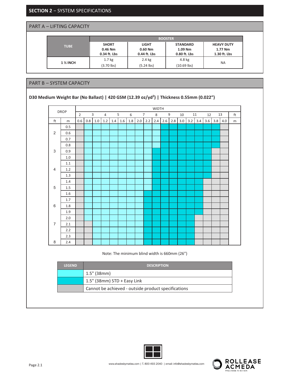**SECTION 2** − SYSTEM SPECIFICATIONS

PART A – LIFTING CAPACITY

|                 |                                         |                                           | <b>BOOSTER</b>                             |                                                |
|-----------------|-----------------------------------------|-------------------------------------------|--------------------------------------------|------------------------------------------------|
| <b>TUBE</b>     | <b>SHORT</b><br>0.46 Nm<br>0.34 ft. Lbs | <b>LIGHT</b><br>$0.60$ Nm<br>0.44 ft. Lbs | <b>STANDARD</b><br>1.09 Nm<br>0.80 ft. Lbs | <b>HEAVY DUTY</b><br>1.77 Nm<br>$1.30$ ft. Lbs |
| <b>1 % INCH</b> | 1.7 <sub>kg</sub><br>$(3.70$ lbs)       | 2.4 kg<br>$(5.24$ lbs)                    | 4.8 kg<br>$(10.69$ lbs)                    | <b>NA</b>                                      |

#### PART B – SYSTEM CAPACITY

#### **D30 Medium Weight Bar (No Ballast) | 420 GSM (12.39 oz/yd2 ) | Thickness 0.55mm (0.022")**





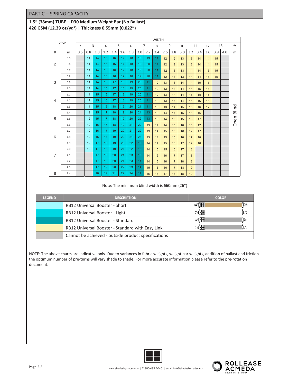#### PART C – SPRING CAPACITY

#### **1.5" (38mm) TUBE – D30 Medium Weight Bar (No Ballast) 420 GSM (12.39 oz/yd2 ) | Thickness 0.55mm (0.022")**

|                | <b>DROP</b> | <b>WIDTH</b>   |     |     |     |     |     |     |     |                 |     |     |     |     |     |     |     |     |     |            |
|----------------|-------------|----------------|-----|-----|-----|-----|-----|-----|-----|-----------------|-----|-----|-----|-----|-----|-----|-----|-----|-----|------------|
|                |             | $\overline{2}$ |     | 3   | 4   |     | 5   | 6   |     | $\overline{7}$  | 8   | 9   |     | 10  |     | 11  | 12  |     | 13  | ft         |
| ft             | m           | 0.6            | 0.8 | 1.0 | 1.2 | 1.4 | 1.6 | 1.8 | 2.0 | 2.2             | 2.4 | 2.6 | 2.8 | 3.0 | 3.2 | 3.4 | 3.6 | 3.8 | 4.0 | m          |
|                | 0.5         |                | 11  | 14  | 15  | 16  | 17  | 18  | 18  | 19              | 11  | 12  | 12  | 13  | 13  | 14  | 14  | 15  |     |            |
| $\overline{2}$ | 0.6         |                | 11  | 14  | 15  | 16  | 17  | 18  | 19  | 20              | 11  | 12  | 12  | 13  | 13  | 14  | 14  | 15  |     |            |
|                | 0.7         |                | 11  | 14  | 15  | 16  | 17  | 18  | 19  | 20              | 11  | 12  | 13  | 13  | 14  | 14  | 15  | 15  |     |            |
|                | 0.8         |                | 11  | 14  | 15  | 16  | 17  | 18  | 19  | 20              | 11  | 12  | 13  | 13  | 14  | 14  | 15  | 15  |     |            |
| 3              | 0.9         |                | 11  | 14  | 15  | 17  | 18  | 19  | 20  | 11              | 12  | 13  | 13  | 14  | 14  | 15  | 15  |     |     |            |
|                | 1.0         |                | 11  | 14  | 15  | 17  | 18  | 19  | 20  | 11              | 12  | 13  | 13  | 14  | 14  | 15  | 16  |     |     |            |
|                | 1.1         |                | 11  | 15  | 15  | 17  | 18  | 19  | 20  | 11              | 12  | 13  | 14  | 14  | 15  | 15  | 16  |     |     |            |
| $\overline{4}$ | 1.2         |                | 11  | 15  | 16  | 17  | 18  | 19  | 20  | 11              | 13  | 13  | 14  | 14  | 15  | 16  | 16  |     |     |            |
|                | 1.3         |                | 11  | 15  | 16  | 18  | 19  | 20  | 21  | 11              | 13  | 13  | 14  | 15  | 15  | 16  | 17  |     |     |            |
|                | 1.4         |                | 12  | 15  | 17  | 18  | 19  | 20  | 21  | 13 <sup>°</sup> | 13  | 14  | 14  | 15  | 16  | 16  |     |     |     | Open Blind |
| 5              | 1.5         |                | 12  | 15  | 17  | 18  | 19  | 20  | 22  | 13              | 13  | 14  | 15  | 15  | 16  | 17  |     |     |     |            |
|                | 1.6         |                | 12  | 16  | 17  | 18  | 19  | 21  | 22  | 13              | 14  | 14  | 15  | 16  | 16  | 17  |     |     |     |            |
|                | 1.7         |                | 12  | 16  | 17  | 19  | 20  | 21  | 22  | 13              | 14  | 15  | 15  | 16  | 17  | 17  |     |     |     |            |
| 6              | 1.8         |                | 12  | 16  | 18  | 19  | 20  | 21  | 23  | 13              | 14  | 15  | 16  | 16  | 17  | 18  |     |     |     |            |
|                | 1.9         |                | 12  | 17  | 18  | 19  | 20  | 22  | 13  | 14              | 14  | 15  | 16  | 17  | 17  | 18  |     |     |     |            |
|                | 2.0         |                | 12  | 17  | 18  | 19  | 21  | 22  | 13  | 14              | 15  | 15  | 16  | 17  | 18  |     |     |     |     |            |
| $\overline{7}$ | 2.1         |                |     | 17  | 18  | 20  | 21  | 23  | 13  | 14              | 15  | 16  | 17  | 17  | 18  |     |     |     |     |            |
|                | 2.2         |                |     | 17  | 19  | 20  | 21  | 23  | 14  | 14              | 15  | 16  | 17  | 18  | 18  |     |     |     |     |            |
|                | 2.3         |                |     | 17  | 19  | 20  | 22  | 23  | 14  | 15              | 16  | 16  | 17  | 18  | 19  |     |     |     |     |            |
| 8              | 2.4         |                |     | 18  | 19  | 21  | 22  | 24  | 14  | 15              | 16  | 17  | 18  | 18  | 19  |     |     |     |     |            |

Note: The minimum blind width is 660mm (26")

| <b>LEGEND</b> | <b>DESCRIPTION</b>                                  | <b>COLOR</b>          |
|---------------|-----------------------------------------------------|-----------------------|
|               | <b>RB12 Universal Booster - Short</b>               | PI <del>™</del><br>ĮE |
|               | RB12 Universal Booster - Light                      |                       |
|               | <b>RB12 Universal Booster - Standard</b>            | ⊪≊                    |
|               | RB12 Universal Booster - Standard with Easy Link    | ⊪≊                    |
|               | Cannot be achieved - outside product specifications |                       |

NOTE: The above charts are indicative only. Due to variances in fabric weights, weight bar weights, addition of ballast and friction the optimum number of pre-turns will vary shade to shade. For more accurate information please refer to the pre-rotation document.



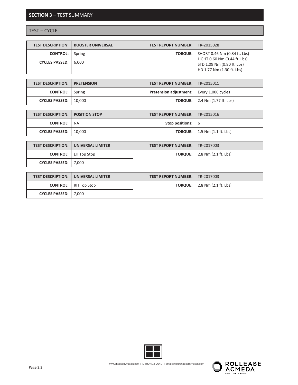### **SECTION 3** – TEST SUMMARY

**CYCLES PASSED:** 7,000

#### TEST – CYCLE

| <b>TEST DESCRIPTION:</b> | <b>BOOSTER UNIVERSAL</b> | <b>TEST REPORT NUMBER:</b>    | TR-2015028                                                                              |
|--------------------------|--------------------------|-------------------------------|-----------------------------------------------------------------------------------------|
| <b>CONTROL:</b>          | Spring                   | <b>TORQUE:</b>                | SHORT 0.46 Nm (0.34 ft. Lbs)                                                            |
| <b>CYCLES PASSED:</b>    | 6,000                    |                               | LIGHT 0.60 Nm (0.44 ft. Lbs)<br>STD 1.09 Nm (0.80 ft. Lbs)<br>HD 1.77 Nm (1.30 ft. Lbs) |
|                          |                          |                               |                                                                                         |
| <b>TEST DESCRIPTION:</b> | <b>PRETENSION</b>        | <b>TEST REPORT NUMBER:</b>    | TR-2015011                                                                              |
| <b>CONTROL:</b>          | Spring                   | <b>Pretension adjustment:</b> | Every 1,000 cycles                                                                      |
| <b>CYCLES PASSED:</b>    | 10,000                   | <b>TORQUE:</b>                | 2.4 Nm (1.77 ft. Lbs)                                                                   |
|                          |                          |                               |                                                                                         |
| <b>TEST DESCRIPTION:</b> | <b>POSITION STOP</b>     | <b>TEST REPORT NUMBER:</b>    | TR-2015016                                                                              |
| <b>CONTROL:</b>          | <b>NA</b>                | Stop positions:               | 6                                                                                       |

| CYCLES PASSED:   10,000                      |                                         | <b>TORQUE:</b> $\vert$ 1.5 Nm (1.1 ft. Lbs) |
|----------------------------------------------|-----------------------------------------|---------------------------------------------|
|                                              |                                         |                                             |
| <b>TEST DESCRIPTION: I UNIVERSAL LIMITER</b> | <b>TEST REPORT NUMBER:   TR-2017003</b> |                                             |
| <b>CONTROL:</b>   LH Top Stop                |                                         | <b>TORQUE:</b>   $2.8$ Nm $(2.1$ ft. Lbs)   |

|                        | <b>TEST DESCRIPTION: I UNIVERSAL LIMITER</b> | <b>TEST REPORT NUMBER:   TR-2017003</b> |                                       |
|------------------------|----------------------------------------------|-----------------------------------------|---------------------------------------|
|                        | <b>CONTROL:</b> RH Top Stop                  |                                         | <b>TORQUE:</b>   2.8 Nm (2.1 ft. Lbs) |
| CYCLES PASSED:   7,000 |                                              |                                         |                                       |



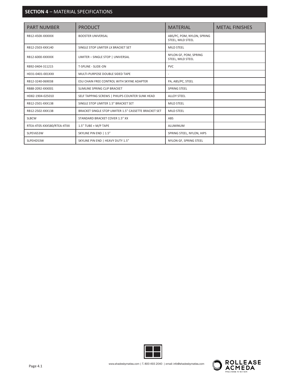## **SECTION 4** – MATERIAL SPECIFICATIONS

| <b>PART NUMBER</b>         | <b>PRODUCT</b>                                        | <b>MATERIAL</b>                                 | <b>METAL FINISHES</b> |
|----------------------------|-------------------------------------------------------|-------------------------------------------------|-----------------------|
| RB12-450X-XXXXXX           | <b>BOOSTER UNIVERSAL</b>                              | ABS/PC, POM, NYLON, SPRING<br>STEEL, MILD STEEL |                       |
| RB12-2503-XXX140           | SINGLE STOP LIMITER LX BRACKET SET                    | <b>MILD STEEL</b>                               |                       |
| RB12-6000-XXXXXX           | LIMITER - SINGLE STOP   UNIVERSAL                     | NYLON GF, POM, SPRING<br>STEEL, MILD STEEL      |                       |
| RB92-0404-311215           | T-SPLINE - SLIDE-ON                                   | <b>PVC</b>                                      |                       |
| HD31-0401-001XXX           | MULTI-PURPOSE DOUBLE SIDED TAPE                       | ۰                                               |                       |
| RB12-3240-069038           | ESU CHAIN FREE CONTROL WITH SKYINE ADAPTER            | PA, ABS/PC, STEEL                               |                       |
| RB88-2092-XXX001           | SLIMLINE SPRING CLIP BRACKET                          | <b>SPRING STEEL</b>                             |                       |
| HD82-1904-025010           | SELF TAPPING SCREWS   PHILIPS COUNTER SUNK HEAD       | <b>ALLOY STEEL</b>                              |                       |
| RB12-2501-XXX138           | SINGLE STOP LIMITER 1.5" BRACKET SET                  | <b>MILD STEEL</b>                               |                       |
| RB12-2502-XXX138           | BRACKET SINGLE STOP LIMITER 1.5" CASSETTE BRACKET SET | <b>MILD STEEL</b>                               |                       |
| <b>SLBCW</b>               | STANDARD BRACKET COVER 1.5" XX                        | ABS                                             |                       |
| RTEA-4T05-XXX580/RTEA-4TXX | 1.5" TUBE + M/P TAPE                                  | <b>ALUMINUM</b>                                 |                       |
| SLPEV653W                  | SKYLINE PIN END   1.5"                                | SPRING STEEL, NYLON, HIPS                       |                       |
| SLPEHD53W                  | SKYLINE PIN END   HEAVY DUTY 1.5"                     | NYLON GF, SPRING STEEL                          |                       |



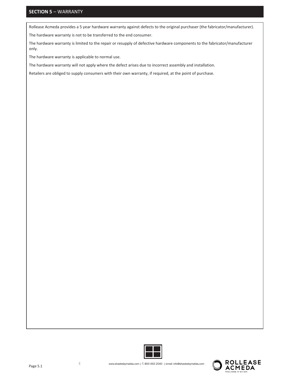### **SECTION 5** – WARRANTY

Rollease Acmeda provides a 5 year hardware warranty against defects to the original purchaser (the fabricator/manufacturer).

The hardware warranty is not to be transferred to the end consumer.

The hardware warranty is limited to the repair or resupply of defective hardware components to the fabricator/manufacturer only.

The hardware warranty is applicable to normal use.

The hardware warranty will not apply where the defect arises due to incorrect assembly and installation.

Retailers are obliged to supply consumers with their own warranty, if required, at the point of purchase.



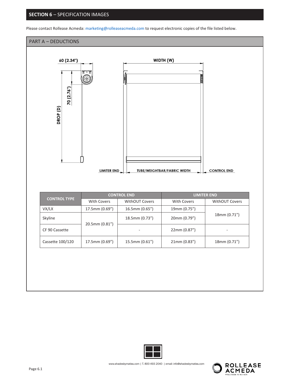#### **SECTION 6** – SPECIFICATION IMAGES

Please contact Rollease Acmeda: marketing@rolleaseacmeda.com to request electronic copies of the file listed below.

# PART A – DEDUCTIONS WIDTH (W) 60 (2.34") 70 (2.76") DROP<sub>(D)</sub> **LIMITER END TUBE/WEIGHTBAR/FABRIC WIDTH CONTROL END CONTROL END LIMITER END CONTROL TYPE** With Covers | WithOUT Covers | With Covers | WithOUT Covers VX/LX 17.5mm (0.69") 16.5mm (0.65") 19mm (0.75") 18mm (0.71") Skyline 18.5mm (0.73") 20mm (0.79") 20.5mm (0.81") CF 90 Cassette and the contract of the contract of the contract of the contract of the contract of the contract of the contract of the contract of the contract of the contract of the contract of the contract of the contrac

Cassette 100/120 17.5mm (0.69") 15.5mm (0.61") 21mm (0.83") 18mm (0.71")